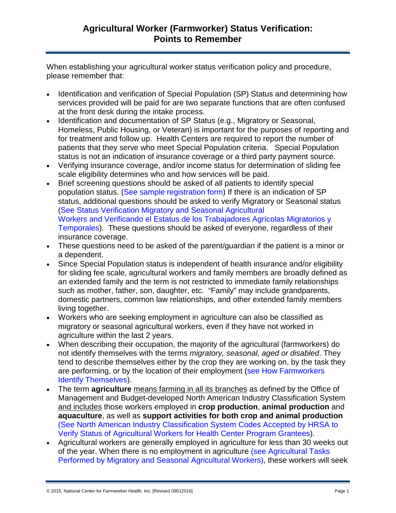When establishing your agricultural worker status verification policy and procedure, please remember that:

- Identification and verification of Special Population (SP) Status and determining how services provided will be paid for are two separate functions that are often confused at the front desk during the intake process.
- Identification and documentation of SP Status (e.g., Migratory or Seasonal, Homeless, Public Housing, or Veteran) is important for the purposes of reporting and for treatment and follow up. Health Centers are required to report the number of patients that they serve who meet Special Population criteria. Special Population status is not an indication of insurance coverage or a third party payment source.
- Verifying insurance coverage, and/or income status for determination [of sliding fee](http://www.ncfh.org/?pid=180)  [scale](http://www.ncfh.org/?pid=180) eligibility determines who and how services will be paid.
- Brief screening questions should be asked of all patients to identify special population status. [\(See sample registration form\)](http://www.ncfh.org/docs/restoolkit/New%20Patient%20Registration%20%20Form.doc) If there is an indication of SP status, additional questions should be asked to verify Migratory or Seasonal status (See [Status Verification Migratory and Seasonal Agricultural](http://www.ncfh.org/docs/restoolkit/MSFW%20ID-Verification%20Eng.docx)  [Workers](http://www.ncfh.org/docs/restoolkit/MSFW%20ID-Verification%20Eng.docx) and [Verificando el Estatus de los Trabajadores Agrícolas](http://www.ncfh.org/docs/restoolkit/MSFW%20ID-Verification%20Spa.docx) Migratorios y [Temporales\)](http://www.ncfh.org/docs/restoolkit/MSFW%20ID-Verification%20Spa.docx). These questions should be asked of everyone, regardless of their insurance coverage.
- These questions need to be asked of the parent/guardian if the patient is a minor or a dependent.
- Since Special Population status is independent of health insurance and/or eligibility for sliding fee scale, agricultural workers and family members are broadly defined as an extended family and the term is not restricted to immediate family relationships such as mother, father, son, daughter, etc. "Family" may include grandparents, domestic partners, common law relationships, and other extended family members living together.
- Workers who are seeking employment in agriculture can also be classified as migratory or seasonal agricultural workers, even if they have not worked in agriculture within the last 2 years.
- When describing their occupation, the majority of the agricultural (farmworkers) do not identify themselves with the terms *migratory, seasonal, aged or disabled*. They tend to describe themselves either by the crop they are working on, by the task they are performing, or by the location of their employment (see [How Farmworkers](http://www.ncfh.org/docs/restoolkit/How%20AG%20Workers%20ID%20Themselves.pdf)  [Identify Themselves\)](http://www.ncfh.org/docs/restoolkit/How%20AG%20Workers%20ID%20Themselves.pdf).
- The term **agriculture** means farming in all its branches as defined by the Office of Management and Budget-developed North American Industry Classification System and includes those workers employed in **crop production**, **animal production** and **aquaculture**, as well as **support activities for both crop and animal production** (See [North American Industry Classification System Codes Accepted by HRSA to](http://www.ncfh.org/docs/restoolkit/NAICS%20Accepted%20by%20HRSA%20for%20Farmworker%20Elegibility.docx)  [Verify Status of Agricultural Workers for Health Center Program Grantees\)](http://www.ncfh.org/docs/restoolkit/NAICS%20Accepted%20by%20HRSA%20for%20Farmworker%20Elegibility.docx).
- Agricultural workers are generally employed in agriculture for less than 30 weeks out of the year. When there is no employment in agriculture (see [Agricultural Tasks](http://www.ncfh.org/docs/restoolkit/Agricultural%20Tasks%20by%20NAICS%20Codes.docx)  [Performed by Migratory and Seasonal Agricultural Workers\)](http://www.ncfh.org/docs/restoolkit/Agricultural%20Tasks%20by%20NAICS%20Codes.docx), these workers will seek